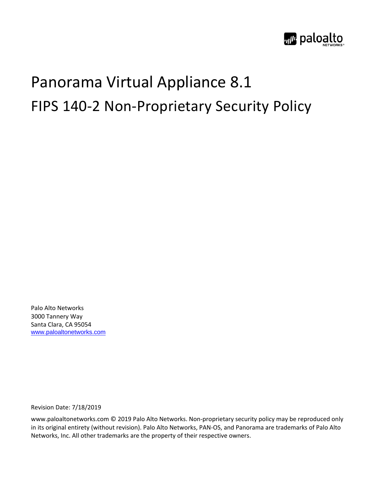

# Panorama Virtual Appliance 8.1 FIPS 140-2 Non-Proprietary Security Policy

Palo Alto Networks 3000 Tannery Way Santa Clara, CA 95054 [www.paloaltonetworks.com](http://www.paloaltonetworks.com/)

Revision Date: 7/18/2019

www.paloaltonetworks.com © 2019 Palo Alto Networks. Non-proprietary security policy may be reproduced only in its original entirety (without revision). Palo Alto Networks, PAN-OS, and Panorama are trademarks of Palo Alto Networks, Inc. All other trademarks are the property of their respective owners.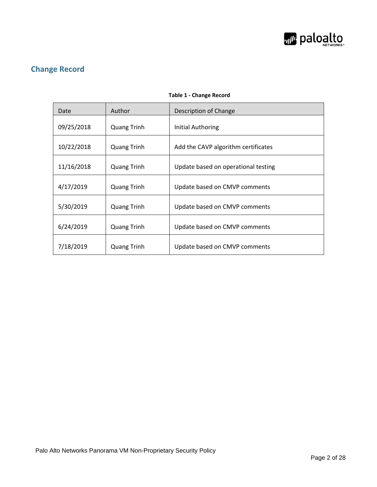

# **Change Record**

<span id="page-1-0"></span>

| Date       | Author             | Description of Change               |
|------------|--------------------|-------------------------------------|
| 09/25/2018 | <b>Quang Trinh</b> | <b>Initial Authoring</b>            |
| 10/22/2018 | <b>Quang Trinh</b> | Add the CAVP algorithm certificates |
| 11/16/2018 | <b>Quang Trinh</b> | Update based on operational testing |
| 4/17/2019  | <b>Quang Trinh</b> | Update based on CMVP comments       |
| 5/30/2019  | <b>Quang Trinh</b> | Update based on CMVP comments       |
| 6/24/2019  | <b>Quang Trinh</b> | Update based on CMVP comments       |
| 7/18/2019  | <b>Quang Trinh</b> | Update based on CMVP comments       |

#### **Table 1 - Change Record**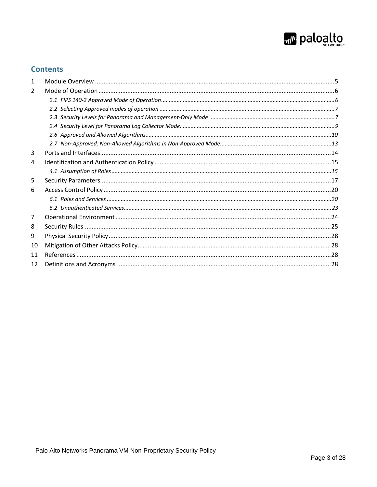

## **Contents**

| 1  |  |
|----|--|
| 2  |  |
|    |  |
|    |  |
|    |  |
|    |  |
|    |  |
|    |  |
| 3  |  |
| 4  |  |
|    |  |
| 5  |  |
| 6  |  |
|    |  |
|    |  |
| 7  |  |
| 8  |  |
| 9  |  |
| 10 |  |
| 11 |  |
| 12 |  |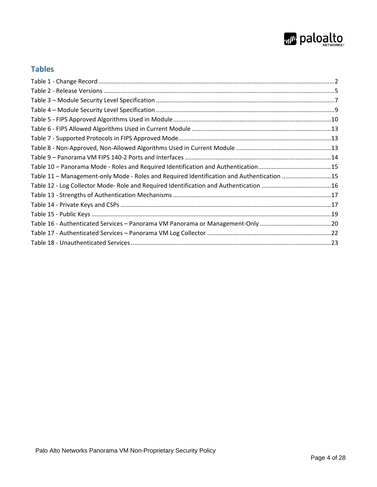

# **Tables**

| Table 11 - Management-only Mode - Roles and Required Identification and Authentication 15 |  |
|-------------------------------------------------------------------------------------------|--|
| Table 12 - Log Collector Mode- Role and Required Identification and Authentication 16     |  |
|                                                                                           |  |
|                                                                                           |  |
|                                                                                           |  |
|                                                                                           |  |
|                                                                                           |  |
|                                                                                           |  |
|                                                                                           |  |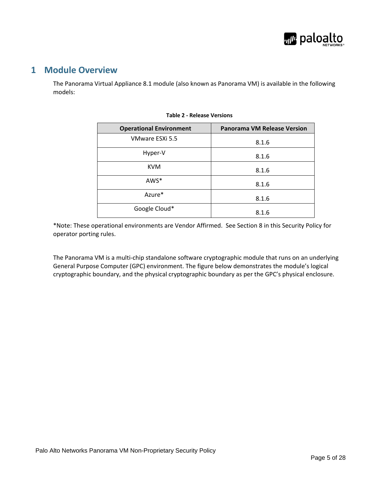

### <span id="page-4-0"></span>**1 Module Overview**

<span id="page-4-1"></span>The Panorama Virtual Appliance 8.1 module (also known as Panorama VM) is available in the following models:

| <b>Operational Environment</b> | <b>Panorama VM Release Version</b> |
|--------------------------------|------------------------------------|
| VMware ESXi 5.5                | 8.1.6                              |
| Hyper-V                        | 8.1.6                              |
| <b>KVM</b>                     | 8.1.6                              |
| AWS*                           | 8.1.6                              |
| Azure*                         | 8.1.6                              |
| Google Cloud*                  | 8.1.6                              |

#### **Table 2 - Release Versions**

\*Note: These operational environments are Vendor Affirmed. See Section 8 in this Security Policy for operator porting rules.

The Panorama VM is a multi-chip standalone software cryptographic module that runs on an underlying General Purpose Computer (GPC) environment. The figure below demonstrates the module's logical cryptographic boundary, and the physical cryptographic boundary as per the GPC's physical enclosure.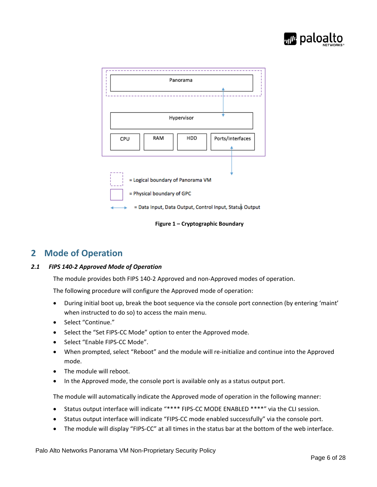



**Figure 1 – Cryptographic Boundary**

# <span id="page-5-0"></span>**2 Mode of Operation**

#### <span id="page-5-1"></span>*2.1 FIPS 140-2 Approved Mode of Operation*

The module provides both FIPS 140-2 Approved and non-Approved modes of operation.

The following procedure will configure the Approved mode of operation:

- During initial boot up, break the boot sequence via the console port connection (by entering 'maint' when instructed to do so) to access the main menu.
- Select "Continue."
- Select the "Set FIPS-CC Mode" option to enter the Approved mode.
- Select "Enable FIPS-CC Mode".
- When prompted, select "Reboot" and the module will re-initialize and continue into the Approved mode.
- The module will reboot.
- In the Approved mode, the console port is available only as a status output port.

The module will automatically indicate the Approved mode of operation in the following manner:

- Status output interface will indicate "\*\*\*\* FIPS-CC MODE ENABLED \*\*\*\*" via the CLI session.
- Status output interface will indicate "FIPS-CC mode enabled successfully" via the console port.
- The module will display "FIPS-CC" at all times in the status bar at the bottom of the web interface.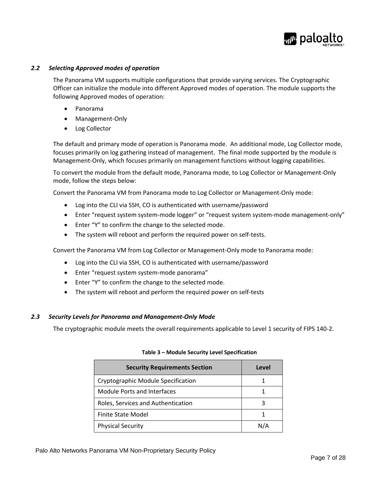

#### <span id="page-6-0"></span>*2.2 Selecting Approved modes of operation*

The Panorama VM supports multiple configurations that provide varying services. The Cryptographic Officer can initialize the module into different Approved modes of operation. The module supports the following Approved modes of operation:

- Panorama
- Management-Only
- Log Collector

The default and primary mode of operation is Panorama mode. An additional mode, Log Collector mode, focuses primarily on log gathering instead of management. The final mode supported by the module is Management-Only, which focuses primarily on management functions without logging capabilities.

To convert the module from the default mode, Panorama mode, to Log Collector or Management-Only mode, follow the steps below:

Convert the Panorama VM from Panorama mode to Log Collector or Management-Only mode:

- Log into the CLI via SSH, CO is authenticated with username/password
- Enter "request system system-mode logger" or "request system system-mode management-only"
- Enter "Y" to confirm the change to the selected mode.
- The system will reboot and perform the required power on self-tests.

Convert the Panorama VM from Log Collector or Management-Only mode to Panorama mode:

- Log into the CLI via SSH, CO is authenticated with username/password
- Enter "request system system-mode panorama"
- Enter "Y" to confirm the change to the selected mode.
- The system will reboot and perform the required power on self-tests

#### <span id="page-6-1"></span>*2.3 Security Levels for Panorama and Management-Only Mode*

<span id="page-6-2"></span>The cryptographic module meets the overall requirements applicable to Level 1 security of FIPS 140-2.

| <b>Security Requirements Section</b> | Level |
|--------------------------------------|-------|
| Cryptographic Module Specification   |       |
| Module Ports and Interfaces          |       |
| Roles, Services and Authentication   | ੨     |
| Finite State Model                   |       |
| <b>Physical Security</b>             | N/A   |

#### **Table 3 – Module Security Level Specification**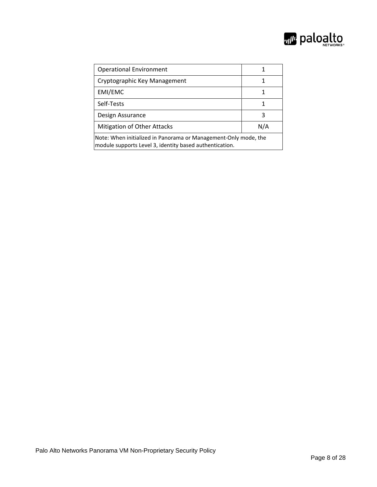

| <b>Operational Environment</b>                                                                                             |     |
|----------------------------------------------------------------------------------------------------------------------------|-----|
| Cryptographic Key Management                                                                                               | 1   |
| EMI/EMC                                                                                                                    |     |
| Self-Tests                                                                                                                 |     |
| Design Assurance                                                                                                           | २   |
| <b>Mitigation of Other Attacks</b>                                                                                         | N/A |
| Note: When initialized in Panorama or Management-Only mode, the<br>module supports Level 3, identity based authentication. |     |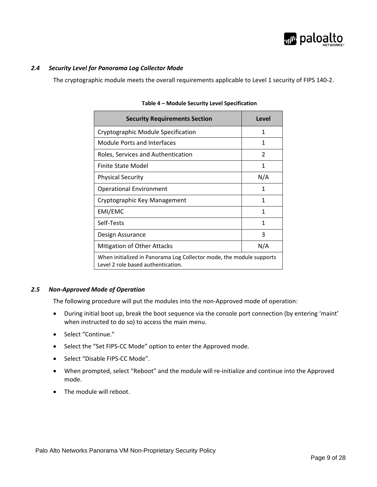

#### <span id="page-8-0"></span>*2.4 Security Level for Panorama Log Collector Mode*

<span id="page-8-1"></span>The cryptographic module meets the overall requirements applicable to Level 1 security of FIPS 140-2.

| <b>Security Requirements Section</b>                                                                       | Level         |
|------------------------------------------------------------------------------------------------------------|---------------|
| Cryptographic Module Specification                                                                         | 1             |
| Module Ports and Interfaces                                                                                | 1             |
| Roles, Services and Authentication                                                                         | $\mathcal{P}$ |
| Finite State Model                                                                                         | 1             |
| <b>Physical Security</b>                                                                                   | N/A           |
| <b>Operational Environment</b>                                                                             | 1             |
| Cryptographic Key Management                                                                               | 1             |
| EMI/EMC                                                                                                    | 1             |
| Self-Tests                                                                                                 | 1             |
| Design Assurance                                                                                           | 3             |
| Mitigation of Other Attacks                                                                                | N/A           |
| When initialized in Panorama Log Collector mode, the module supports<br>Level 2 role based authentication. |               |

#### *2.5 Non-Approved Mode of Operation*

The following procedure will put the modules into the non-Approved mode of operation:

- During initial boot up, break the boot sequence via the console port connection (by entering 'maint' when instructed to do so) to access the main menu.
- Select "Continue."
- Select the "Set FIPS-CC Mode" option to enter the Approved mode.
- Select "Disable FIPS-CC Mode".
- When prompted, select "Reboot" and the module will re-initialize and continue into the Approved mode.
- The module will reboot.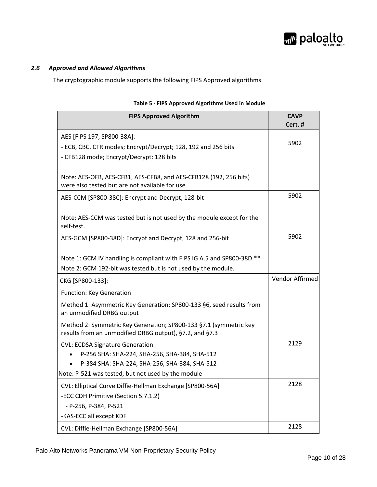

#### <span id="page-9-0"></span>*2.6 Approved and Allowed Algorithms*

The cryptographic module supports the following FIPS Approved algorithms.

<span id="page-9-1"></span>

| <b>FIPS Approved Algorithm</b>                                                                                                                                                                 | <b>CAVP</b><br>Cert. # |
|------------------------------------------------------------------------------------------------------------------------------------------------------------------------------------------------|------------------------|
| AES [FIPS 197, SP800-38A]:<br>- ECB, CBC, CTR modes; Encrypt/Decrypt; 128, 192 and 256 bits<br>- CFB128 mode; Encrypt/Decrypt: 128 bits                                                        | 5902                   |
| Note: AES-OFB, AES-CFB1, AES-CFB8, and AES-CFB128 (192, 256 bits)<br>were also tested but are not available for use                                                                            |                        |
| AES-CCM [SP800-38C]: Encrypt and Decrypt, 128-bit                                                                                                                                              | 5902                   |
| Note: AES-CCM was tested but is not used by the module except for the<br>self-test.                                                                                                            |                        |
| AES-GCM [SP800-38D]: Encrypt and Decrypt, 128 and 256-bit                                                                                                                                      | 5902                   |
| Note 1: GCM IV handling is compliant with FIPS IG A.5 and SP800-38D.**<br>Note 2: GCM 192-bit was tested but is not used by the module.                                                        |                        |
| CKG [SP800-133]:                                                                                                                                                                               | Vendor Affirmed        |
| <b>Function: Key Generation</b>                                                                                                                                                                |                        |
| Method 1: Asymmetric Key Generation; SP800-133 §6, seed results from<br>an unmodified DRBG output                                                                                              |                        |
| Method 2: Symmetric Key Generation; SP800-133 §7.1 (symmetric key<br>results from an unmodified DRBG output), §7.2, and §7.3                                                                   |                        |
| <b>CVL: ECDSA Signature Generation</b><br>P-256 SHA: SHA-224, SHA-256, SHA-384, SHA-512<br>P-384 SHA: SHA-224, SHA-256, SHA-384, SHA-512<br>Note: P-521 was tested, but not used by the module | 2129                   |
| CVL: Elliptical Curve Diffie-Hellman Exchange [SP800-56A]                                                                                                                                      | 2128                   |
| -ECC CDH Primitive (Section 5.7.1.2)<br>- P-256, P-384, P-521                                                                                                                                  |                        |
| -KAS-ECC all except KDF                                                                                                                                                                        |                        |
| CVL: Diffie-Hellman Exchange [SP800-56A]                                                                                                                                                       | 2128                   |

#### **Table 5 - FIPS Approved Algorithms Used in Module**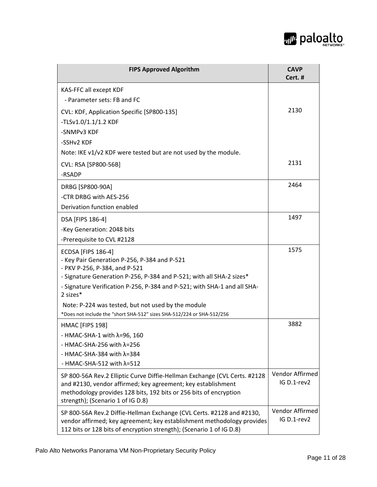

| <b>FIPS Approved Algorithm</b>                                                                                                                                                                                                                      | <b>CAVP</b><br>Cert. #         |
|-----------------------------------------------------------------------------------------------------------------------------------------------------------------------------------------------------------------------------------------------------|--------------------------------|
| KAS-FFC all except KDF                                                                                                                                                                                                                              |                                |
| - Parameter sets: FB and FC                                                                                                                                                                                                                         |                                |
| CVL: KDF, Application Specific [SP800-135]                                                                                                                                                                                                          | 2130                           |
| -TLSv1.0/1.1/1.2 KDF                                                                                                                                                                                                                                |                                |
| -SNMPv3 KDF                                                                                                                                                                                                                                         |                                |
| -SSHv2 KDF                                                                                                                                                                                                                                          |                                |
| Note: IKE v1/v2 KDF were tested but are not used by the module.                                                                                                                                                                                     |                                |
| CVL: RSA [SP800-56B]                                                                                                                                                                                                                                | 2131                           |
| -RSADP                                                                                                                                                                                                                                              |                                |
| DRBG [SP800-90A]                                                                                                                                                                                                                                    | 2464                           |
| -CTR DRBG with AES-256                                                                                                                                                                                                                              |                                |
| Derivation function enabled                                                                                                                                                                                                                         |                                |
| DSA [FIPS 186-4]                                                                                                                                                                                                                                    | 1497                           |
| -Key Generation: 2048 bits                                                                                                                                                                                                                          |                                |
| -Prerequisite to CVL #2128                                                                                                                                                                                                                          |                                |
| <b>ECDSA [FIPS 186-4]</b><br>- Key Pair Generation P-256, P-384 and P-521<br>- PKV P-256, P-384, and P-521                                                                                                                                          | 1575                           |
| - Signature Generation P-256, P-384 and P-521; with all SHA-2 sizes*<br>- Signature Verification P-256, P-384 and P-521; with SHA-1 and all SHA-<br>2 sizes*                                                                                        |                                |
| Note: P-224 was tested, but not used by the module                                                                                                                                                                                                  |                                |
| *Does not include the "short SHA-512" sizes SHA-512/224 or SHA-512/256                                                                                                                                                                              |                                |
| HMAC [FIPS 198]                                                                                                                                                                                                                                     | 3882                           |
| - HMAC-SHA-1 with $\lambda$ =96, 160                                                                                                                                                                                                                |                                |
| - HMAC-SHA-256 with $\lambda$ =256                                                                                                                                                                                                                  |                                |
| - HMAC-SHA-384 with $\lambda$ =384                                                                                                                                                                                                                  |                                |
| - HMAC-SHA-512 with $\lambda$ =512                                                                                                                                                                                                                  |                                |
| SP 800-56A Rev.2 Elliptic Curve Diffie-Hellman Exchange (CVL Certs. #2128<br>and #2130, vendor affirmed; key agreement; key establishment<br>methodology provides 128 bits, 192 bits or 256 bits of encryption<br>strength); (Scenario 1 of IG D.8) | Vendor Affirmed<br>IG D.1-rev2 |
| SP 800-56A Rev.2 Diffie-Hellman Exchange (CVL Certs. #2128 and #2130,<br>vendor affirmed; key agreement; key establishment methodology provides<br>112 bits or 128 bits of encryption strength); (Scenario 1 of IG D.8)                             | Vendor Affirmed<br>IG D.1-rev2 |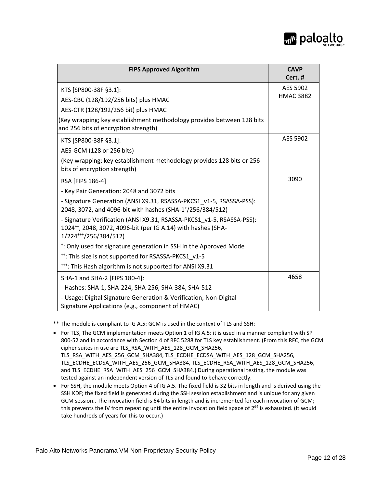

| <b>FIPS Approved Algorithm</b>                                                                                                                                                 | <b>CAVP</b><br>Cert. #       |
|--------------------------------------------------------------------------------------------------------------------------------------------------------------------------------|------------------------------|
| KTS [SP800-38F §3.1]:<br>AES-CBC (128/192/256 bits) plus HMAC                                                                                                                  | AES 5902<br><b>HMAC 3882</b> |
| AES-CTR (128/192/256 bit) plus HMAC                                                                                                                                            |                              |
| (Key wrapping; key establishment methodology provides between 128 bits<br>and 256 bits of encryption strength)                                                                 |                              |
| KTS [SP800-38F §3.1]:                                                                                                                                                          | AES 5902                     |
| AES-GCM (128 or 256 bits)                                                                                                                                                      |                              |
| (Key wrapping; key establishment methodology provides 128 bits or 256<br>bits of encryption strength)                                                                          |                              |
| RSA [FIPS 186-4]                                                                                                                                                               | 3090                         |
| - Key Pair Generation: 2048 and 3072 bits                                                                                                                                      |                              |
| - Signature Generation (ANSI X9.31, RSASSA-PKCS1 v1-5, RSASSA-PSS):<br>2048, 3072, and 4096-bit with hashes (SHA-1+/256/384/512)                                               |                              |
| - Signature Verification (ANSI X9.31, RSASSA-PKCS1 v1-5, RSASSA-PSS):<br>1024 <sup>++</sup> , 2048, 3072, 4096-bit (per IG A.14) with hashes (SHA-<br>$1/224^{++}/256/384/512$ |                              |
| *: Only used for signature generation in SSH in the Approved Mode                                                                                                              |                              |
| <sup>++</sup> : This size is not supported for RSASSA-PKCS1 v1-5                                                                                                               |                              |
| <sup>+++</sup> : This Hash algorithm is not supported for ANSI X9.31                                                                                                           |                              |
| SHA-1 and SHA-2 [FIPS 180-4]:                                                                                                                                                  | 4658                         |
| - Hashes: SHA-1, SHA-224, SHA-256, SHA-384, SHA-512                                                                                                                            |                              |
| - Usage: Digital Signature Generation & Verification, Non-Digital<br>Signature Applications (e.g., component of HMAC)                                                          |                              |

\*\* The module is compliant to IG A.5: GCM is used in the context of TLS and SSH:

• For TLS, The GCM implementation meets Option 1 of IG A.5: it is used in a manner compliant with SP 800-52 and in accordance with Section 4 of RFC 5288 for TLS key establishment. (From this RFC, the GCM cipher suites in use are TLS\_RSA\_WITH\_AES\_128\_GCM\_SHA256, TLS\_RSA\_WITH\_AES\_256\_GCM\_SHA384, TLS\_ECDHE\_ECDSA\_WITH\_AES\_128\_GCM\_SHA256, TLS\_ECDHE\_ECDSA\_WITH\_AES\_256\_GCM\_SHA384, TLS\_ECDHE\_RSA\_WITH\_AES\_128\_GCM\_SHA256,

and TLS\_ECDHE\_RSA\_WITH\_AES\_256\_GCM\_SHA384.) During operational testing, the module was tested against an independent version of TLS and found to behave correctly.

• For SSH, the module meets Option 4 of IG A.5. The fixed field is 32 bits in length and is derived using the SSH KDF; the fixed field is generated during the SSH session establishment and is unique for any given GCM session.. The invocation field is 64 bits in length and is incremented for each invocation of GCM; this prevents the IV from repeating until the entire invocation field space of  $2^{64}$  is exhausted. (It would take hundreds of years for this to occur.)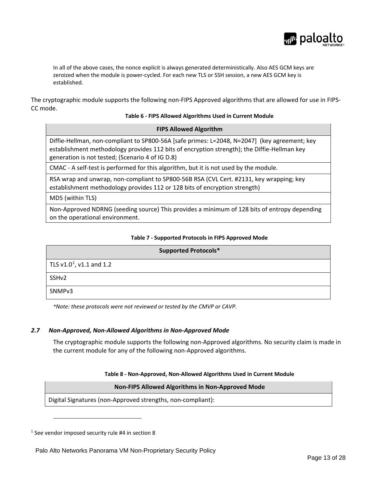

In all of the above cases, the nonce explicit is always generated deterministically. Also AES GCM keys are zeroized when the module is power-cycled. For each new TLS or SSH session, a new AES GCM key is established.

<span id="page-12-1"></span>The cryptographic module supports the following non-FIPS Approved algorithms that are allowed for use in FIPS-CC mode.

**FIPS Allowed Algorithm**

#### **Table 6 - FIPS Allowed Algorithms Used in Current Module**

| Diffie-Hellman, non-compliant to SP800-56A [safe primes: L=2048, N=2047] (key agreement; key |
|----------------------------------------------------------------------------------------------|
| establishment methodology provides 112 bits of encryption strength); the Diffie-Hellman key  |
| generation is not tested; (Scenario 4 of IG D.8)                                             |

CMAC - A self-test is performed for this algorithm, but it is not used by the module.

RSA wrap and unwrap, non-compliant to SP800-56B RSA (CVL Cert. #2131, key wrapping; key establishment methodology provides 112 or 128 bits of encryption strength)

MD5 (within TLS)

Non-Approved NDRNG (seeding source) This provides a minimum of 128 bits of entropy depending on the operational environment.

#### **Table 7 - Supported Protocols in FIPS Approved Mode**

<span id="page-12-2"></span>

| <b>Supported Protocols*</b>   |
|-------------------------------|
| TLS $v1.0^1$ , $v1.1$ and 1.2 |
| SSH <sub>v2</sub>             |
| SNMP <sub>v3</sub>            |

*\*Note: these protocols were not reviewed or tested by the CMVP or CAVP.*

#### <span id="page-12-0"></span>*2.7 Non-Approved, Non-Allowed Algorithms in Non-Approved Mode*

The cryptographic module supports the following non-Approved algorithms. No security claim is made in the current module for any of the following non-Approved algorithms.

#### **Table 8 - Non-Approved, Non-Allowed Algorithms Used in Current Module**

#### **Non-FIPS Allowed Algorithms in Non-Approved Mode**

<span id="page-12-3"></span>Digital Signatures (non-Approved strengths, non-compliant):

<span id="page-12-4"></span> $1$  See vendor imposed security rule [#4](#page-26-0) in section [8](#page-24-0)

 $\overline{a}$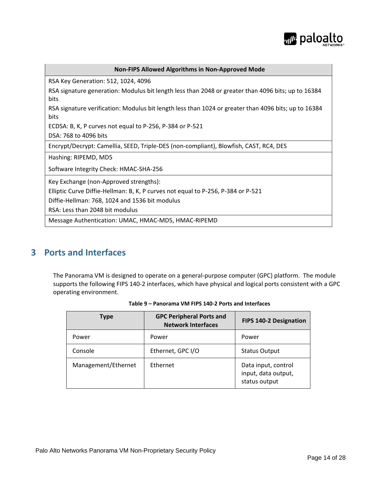

| <b>Non-FIPS Allowed Algorithms in Non-Approved Mode</b>                                                      |
|--------------------------------------------------------------------------------------------------------------|
| RSA Key Generation: 512, 1024, 4096                                                                          |
| RSA signature generation: Modulus bit length less than 2048 or greater than 4096 bits; up to 16384<br>bits   |
| RSA signature verification: Modulus bit length less than 1024 or greater than 4096 bits; up to 16384<br>bits |
| ECDSA: B, K, P curves not equal to P-256, P-384 or P-521                                                     |
| DSA: 768 to 4096 bits                                                                                        |
| Encrypt/Decrypt: Camellia, SEED, Triple-DES (non-compliant), Blowfish, CAST, RC4, DES                        |
| Hashing: RIPEMD, MD5                                                                                         |
| Software Integrity Check: HMAC-SHA-256                                                                       |
| Key Exchange (non-Approved strengths):                                                                       |
| Elliptic Curve Diffie-Hellman: B, K, P curves not equal to P-256, P-384 or P-521                             |
| Diffie-Hellman: 768, 1024 and 1536 bit modulus                                                               |
| RSA: Less than 2048 bit modulus                                                                              |
| Message Authentication: UMAC, HMAC-MD5, HMAC-RIPEMD                                                          |

# <span id="page-13-0"></span>**3 Ports and Interfaces**

<span id="page-13-1"></span>The Panorama VM is designed to operate on a general-purpose computer (GPC) platform. The module supports the following FIPS 140-2 interfaces, which have physical and logical ports consistent with a GPC operating environment.

| <b>Type</b>         | <b>GPC Peripheral Ports and</b><br><b>Network Interfaces</b> | FIPS 140-2 Designation                                      |
|---------------------|--------------------------------------------------------------|-------------------------------------------------------------|
| Power               | Power                                                        | Power                                                       |
| Console             | Ethernet, GPC I/O                                            | <b>Status Output</b>                                        |
| Management/Ethernet | Ethernet                                                     | Data input, control<br>input, data output,<br>status output |

|  | Table 9 – Panorama VM FIPS 140-2 Ports and Interfaces |
|--|-------------------------------------------------------|
|--|-------------------------------------------------------|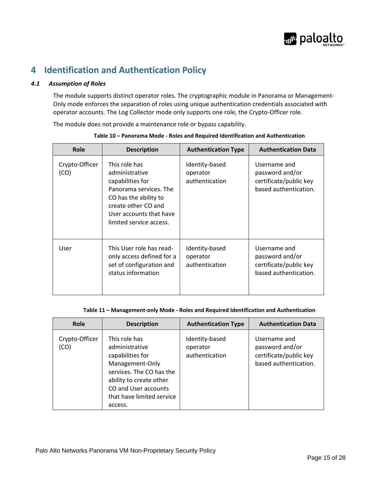

# <span id="page-14-0"></span>**4 Identification and Authentication Policy**

#### <span id="page-14-1"></span>*4.1 Assumption of Roles*

The module supports distinct operator roles. The cryptographic module in Panorama or Management-Only mode enforces the separation of roles using unique authentication credentials associated with operator accounts. The Log Collector mode only supports one role, the Crypto-Officer role.

The module does not provide a maintenance role or bypass capability.

<span id="page-14-2"></span>

| Role                   | <b>Description</b>                                                                                                                                                                  | <b>Authentication Type</b>                   | <b>Authentication Data</b>                                                         |
|------------------------|-------------------------------------------------------------------------------------------------------------------------------------------------------------------------------------|----------------------------------------------|------------------------------------------------------------------------------------|
| Crypto-Officer<br>(CO) | This role has<br>administrative<br>capabilities for<br>Panorama services. The<br>CO has the ability to<br>create other CO and<br>User accounts that have<br>limited service access. | Identity-based<br>operator<br>authentication | Username and<br>password and/or<br>certificate/public key<br>based authentication. |
| User                   | This User role has read-<br>only access defined for a<br>set of configuration and<br>status information                                                                             | Identity-based<br>operator<br>authentication | Username and<br>password and/or<br>certificate/public key<br>based authentication. |

**Table 10 – Panorama Mode - Roles and Required Identification and Authentication**

#### **Table 11 – Management-only Mode - Roles and Required Identification and Authentication**

<span id="page-14-3"></span>

| <b>Role</b>            | <b>Description</b>                                                                                                                                                                            | <b>Authentication Type</b>                   | <b>Authentication Data</b>                                                         |
|------------------------|-----------------------------------------------------------------------------------------------------------------------------------------------------------------------------------------------|----------------------------------------------|------------------------------------------------------------------------------------|
| Crypto-Officer<br>(CO) | This role has<br>administrative<br>capabilities for<br>Management-Only<br>services. The CO has the<br>ability to create other<br>CO and User accounts<br>that have limited service<br>access. | Identity-based<br>operator<br>authentication | Username and<br>password and/or<br>certificate/public key<br>based authentication. |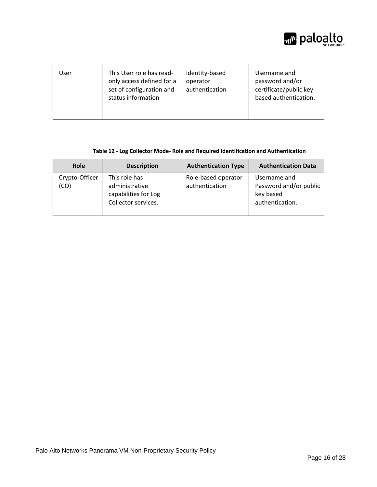

| User | This User role has read-<br>only access defined for a<br>set of configuration and<br>status information | Identity-based<br>operator<br>authentication | Username and<br>password and/or<br>certificate/public key<br>based authentication. |
|------|---------------------------------------------------------------------------------------------------------|----------------------------------------------|------------------------------------------------------------------------------------|
|------|---------------------------------------------------------------------------------------------------------|----------------------------------------------|------------------------------------------------------------------------------------|

#### **Table 12 - Log Collector Mode- Role and Required Identification and Authentication**

<span id="page-15-0"></span>

| <b>Role</b>            | <b>Description</b>                                                             | <b>Authentication Type</b>            | <b>Authentication Data</b>                                             |
|------------------------|--------------------------------------------------------------------------------|---------------------------------------|------------------------------------------------------------------------|
| Crypto-Officer<br>(CO) | This role has<br>administrative<br>capabilities for Log<br>Collector services. | Role-based operator<br>authentication | Username and<br>Password and/or public<br>key based<br>authentication. |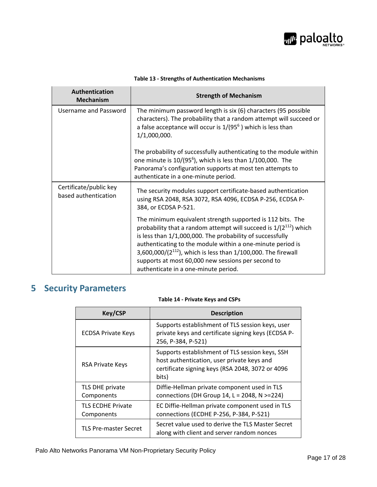

<span id="page-16-1"></span>

| Authentication<br><b>Mechanism</b>             | <b>Strength of Mechanism</b>                                                                                                                                                                                                                                                                                                                                                                                                                 |
|------------------------------------------------|----------------------------------------------------------------------------------------------------------------------------------------------------------------------------------------------------------------------------------------------------------------------------------------------------------------------------------------------------------------------------------------------------------------------------------------------|
| Username and Password                          | The minimum password length is six (6) characters (95 possible<br>characters). The probability that a random attempt will succeed or<br>a false acceptance will occur is $1/(95^6)$ which is less than<br>1/1,000,000.                                                                                                                                                                                                                       |
|                                                | The probability of successfully authenticating to the module within<br>one minute is $10/(95^6)$ , which is less than $1/100,000$ . The<br>Panorama's configuration supports at most ten attempts to<br>authenticate in a one-minute period.                                                                                                                                                                                                 |
| Certificate/public key<br>based authentication | The security modules support certificate-based authentication<br>using RSA 2048, RSA 3072, RSA 4096, ECDSA P-256, ECDSA P-<br>384, or ECDSA P-521.                                                                                                                                                                                                                                                                                           |
|                                                | The minimum equivalent strength supported is 112 bits. The<br>probability that a random attempt will succeed is $1/(2^{112})$ which<br>is less than 1/1,000,000. The probability of successfully<br>authenticating to the module within a one-minute period is<br>3,600,000/(2 <sup>112</sup> ), which is less than $1/100$ ,000. The firewall<br>supports at most 60,000 new sessions per second to<br>authenticate in a one-minute period. |

#### **Table 13 - Strengths of Authentication Mechanisms**

# <span id="page-16-2"></span><span id="page-16-0"></span>**5 Security Parameters**

#### **Table 14 - Private Keys and CSPs**

| <b>Key/CSP</b>                         | <b>Description</b>                                                                                                                                         |
|----------------------------------------|------------------------------------------------------------------------------------------------------------------------------------------------------------|
| <b>ECDSA Private Keys</b>              | Supports establishment of TLS session keys, user<br>private keys and certificate signing keys (ECDSA P-<br>256, P-384, P-521)                              |
| <b>RSA Private Keys</b>                | Supports establishment of TLS session keys, SSH<br>host authentication, user private keys and<br>certificate signing keys (RSA 2048, 3072 or 4096<br>bits) |
| TLS DHE private<br>Components          | Diffie-Hellman private component used in TLS<br>connections (DH Group 14, $L = 2048$ , N $> = 224$ )                                                       |
| <b>TLS ECDHE Private</b><br>Components | EC Diffie-Hellman private component used in TLS<br>connections (ECDHE P-256, P-384, P-521)                                                                 |
| <b>TLS Pre-master Secret</b>           | Secret value used to derive the TLS Master Secret<br>along with client and server random nonces                                                            |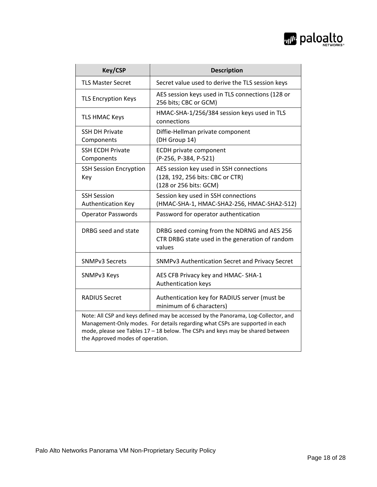

| <b>Key/CSP</b>                                                                                                                                                                                                                                                                           | <b>Description</b>                                                                                       |
|------------------------------------------------------------------------------------------------------------------------------------------------------------------------------------------------------------------------------------------------------------------------------------------|----------------------------------------------------------------------------------------------------------|
| <b>TLS Master Secret</b>                                                                                                                                                                                                                                                                 | Secret value used to derive the TLS session keys                                                         |
| <b>TLS Encryption Keys</b>                                                                                                                                                                                                                                                               | AES session keys used in TLS connections (128 or<br>256 bits; CBC or GCM)                                |
| <b>TLS HMAC Keys</b>                                                                                                                                                                                                                                                                     | HMAC-SHA-1/256/384 session keys used in TLS<br>connections                                               |
| <b>SSH DH Private</b><br>Components                                                                                                                                                                                                                                                      | Diffie-Hellman private component<br>(DH Group 14)                                                        |
| <b>SSH ECDH Private</b><br>Components                                                                                                                                                                                                                                                    | <b>ECDH</b> private component<br>(P-256, P-384, P-521)                                                   |
| <b>SSH Session Encryption</b><br>Key                                                                                                                                                                                                                                                     | AES session key used in SSH connections<br>(128, 192, 256 bits: CBC or CTR)<br>(128 or 256 bits: GCM)    |
| <b>SSH Session</b><br><b>Authentication Key</b>                                                                                                                                                                                                                                          | Session key used in SSH connections<br>(HMAC-SHA-1, HMAC-SHA2-256, HMAC-SHA2-512)                        |
| <b>Operator Passwords</b>                                                                                                                                                                                                                                                                | Password for operator authentication                                                                     |
| DRBG seed and state                                                                                                                                                                                                                                                                      | DRBG seed coming from the NDRNG and AES 256<br>CTR DRBG state used in the generation of random<br>values |
| <b>SNMPv3 Secrets</b>                                                                                                                                                                                                                                                                    | SNMPv3 Authentication Secret and Privacy Secret                                                          |
| SNMPv3 Keys                                                                                                                                                                                                                                                                              | AES CFB Privacy key and HMAC-SHA-1<br>Authentication keys                                                |
| <b>RADIUS Secret</b>                                                                                                                                                                                                                                                                     | Authentication key for RADIUS server (must be<br>minimum of 6 characters)                                |
| Note: All CSP and keys defined may be accessed by the Panorama, Log-Collector, and<br>Management-Only modes. For details regarding what CSPs are supported in each<br>mode, please see Tables 17 - 18 below. The CSPs and keys may be shared between<br>the Approved modes of operation. |                                                                                                          |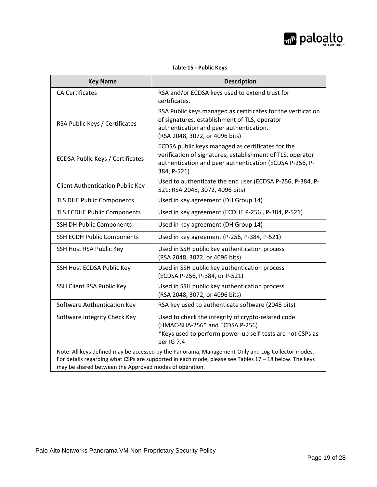

<span id="page-18-0"></span>

| <b>Key Name</b>                                        | <b>Description</b>                                                                                                                                                                                        |
|--------------------------------------------------------|-----------------------------------------------------------------------------------------------------------------------------------------------------------------------------------------------------------|
| <b>CA Certificates</b>                                 | RSA and/or ECDSA keys used to extend trust for<br>certificates.                                                                                                                                           |
| RSA Public Keys / Certificates                         | RSA Public keys managed as certificates for the verification<br>of signatures, establishment of TLS, operator<br>authentication and peer authentication.<br>(RSA 2048, 3072, or 4096 bits)                |
| <b>ECDSA Public Keys / Certificates</b>                | ECDSA public keys managed as certificates for the<br>verification of signatures, establishment of TLS, operator<br>authentication and peer authentication (ECDSA P-256, P-<br>384, P-521)                 |
| <b>Client Authentication Public Key</b>                | Used to authenticate the end user (ECDSA P-256, P-384, P-<br>521; RSA 2048, 3072, 4096 bits)                                                                                                              |
| TLS DHE Public Components                              | Used in key agreement (DH Group 14)                                                                                                                                                                       |
| TLS ECDHE Public Components                            | Used in key agreement (ECDHE P-256, P-384, P-521)                                                                                                                                                         |
| <b>SSH DH Public Components</b>                        | Used in key agreement (DH Group 14)                                                                                                                                                                       |
| <b>SSH ECDH Public Components</b>                      | Used in key agreement (P-256, P-384, P-521)                                                                                                                                                               |
| SSH Host RSA Public Key                                | Used in SSH public key authentication process<br>(RSA 2048, 3072, or 4096 bits)                                                                                                                           |
| SSH Host ECDSA Public Key                              | Used in SSH public key authentication process<br>(ECDSA P-256, P-384, or P-521)                                                                                                                           |
| SSH Client RSA Public Key                              | Used in SSH public key authentication process<br>(RSA 2048, 3072, or 4096 bits)                                                                                                                           |
| Software Authentication Key                            | RSA key used to authenticate software (2048 bits)                                                                                                                                                         |
| Software Integrity Check Key                           | Used to check the integrity of crypto-related code<br>(HMAC-SHA-256* and ECDSA P-256)<br>*Keys used to perform power-up self-tests are not CSPs as<br>per IG 7.4                                          |
| may be shared between the Approved modes of operation. | Note: All keys defined may be accessed by the Panorama, Management-Only and Log-Collector modes.<br>For details regarding what CSPs are supported in each mode, please see Tables 17 - 18 below. The keys |

#### **Table 15 - Public Keys**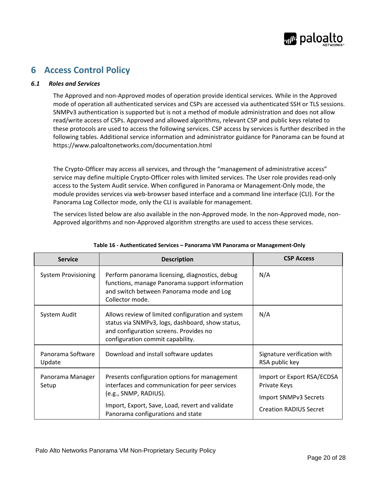

# <span id="page-19-0"></span>**6 Access Control Policy**

#### <span id="page-19-1"></span>*6.1 Roles and Services*

The Approved and non-Approved modes of operation provide identical services. While in the Approved mode of operation all authenticated services and CSPs are accessed via authenticated SSH or TLS sessions. SNMPv3 authentication is supported but is not a method of module administration and does not allow read/write access of CSPs. Approved and allowed algorithms, relevant CSP and public keys related to these protocols are used to access the following services. CSP access by services is further described in the following tables. Additional service information and administrator guidance for Panorama can be found at https://www.paloaltonetworks.com/documentation.html

The Crypto-Officer may access all services, and through the "management of administrative access" service may define multiple Crypto-Officer roles with limited services. The User role provides read-only access to the System Audit service. When configured in Panorama or Management-Only mode, the module provides services via web-browser based interface and a command line interface (CLI). For the Panorama Log Collector mode, only the CLI is available for management.

The services listed below are also available in the non-Approved mode. In the non-Approved mode, non-Approved algorithms and non-Approved algorithm strengths are used to access these services.

<span id="page-19-2"></span>

| <b>Service</b>              | <b>Description</b>                                                                                                                                                                                               | <b>CSP Access</b>                                                                                    |
|-----------------------------|------------------------------------------------------------------------------------------------------------------------------------------------------------------------------------------------------------------|------------------------------------------------------------------------------------------------------|
| <b>System Provisioning</b>  | Perform panorama licensing, diagnostics, debug<br>functions, manage Panorama support information<br>and switch between Panorama mode and Log<br>Collector mode.                                                  | N/A                                                                                                  |
| System Audit                | Allows review of limited configuration and system<br>status via SNMPv3, logs, dashboard, show status,<br>and configuration screens. Provides no<br>configuration commit capability.                              | N/A                                                                                                  |
| Panorama Software<br>Update | Download and install software updates                                                                                                                                                                            | Signature verification with<br>RSA public key                                                        |
| Panorama Manager<br>Setup   | Presents configuration options for management<br>interfaces and communication for peer services<br>(e.g., SNMP, RADIUS).<br>Import, Export, Save, Load, revert and validate<br>Panorama configurations and state | Import or Export RSA/ECDSA<br>Private Keys<br>Import SNMPv3 Secrets<br><b>Creation RADIUS Secret</b> |

#### **Table 16 - Authenticated Services – Panorama VM Panorama or Management-Only**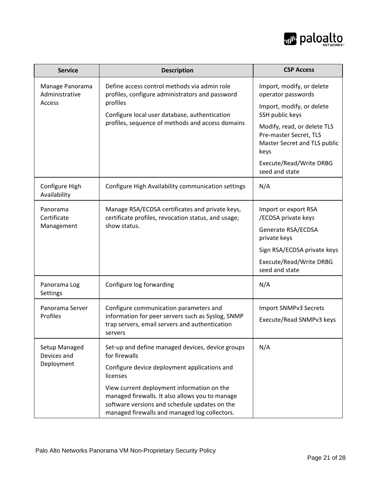

| <b>Service</b>                              | <b>Description</b>                                                                                                                                                                                               | <b>CSP Access</b>                                                                                                |
|---------------------------------------------|------------------------------------------------------------------------------------------------------------------------------------------------------------------------------------------------------------------|------------------------------------------------------------------------------------------------------------------|
| Manage Panorama<br>Administrative<br>Access | Define access control methods via admin role<br>profiles, configure administrators and password<br>profiles<br>Configure local user database, authentication<br>profiles, sequence of methods and access domains | Import, modify, or delete<br>operator passwords<br>Import, modify, or delete                                     |
|                                             |                                                                                                                                                                                                                  | SSH public keys<br>Modify, read, or delete TLS<br>Pre-master Secret, TLS<br>Master Secret and TLS public<br>keys |
|                                             |                                                                                                                                                                                                                  | Execute/Read/Write DRBG<br>seed and state                                                                        |
| Configure High<br>Availability              | Configure High Availability communication settings                                                                                                                                                               | N/A                                                                                                              |
| Panorama<br>Certificate<br>Management       | Manage RSA/ECDSA certificates and private keys,<br>certificate profiles, revocation status, and usage;<br>show status.                                                                                           | Import or export RSA<br>/ECDSA private keys<br>Generate RSA/ECDSA<br>private keys                                |
|                                             |                                                                                                                                                                                                                  | Sign RSA/ECDSA private keys<br>Execute/Read/Write DRBG<br>seed and state                                         |
| Panorama Log<br>Settings                    | Configure log forwarding                                                                                                                                                                                         | N/A                                                                                                              |
| Panorama Server<br>Profiles                 | Configure communication parameters and<br>information for peer servers such as Syslog, SNMP<br>trap servers, email servers and authentication<br>servers                                                         | Import SNMPv3 Secrets<br>Execute/Read SNMPv3 keys                                                                |
| Setup Managed<br>Devices and<br>Deployment  | Set-up and define managed devices, device groups<br>for firewalls                                                                                                                                                | N/A                                                                                                              |
|                                             | Configure device deployment applications and<br>licenses                                                                                                                                                         |                                                                                                                  |
|                                             | View current deployment information on the<br>managed firewalls. It also allows you to manage<br>software versions and schedule updates on the<br>managed firewalls and managed log collectors.                  |                                                                                                                  |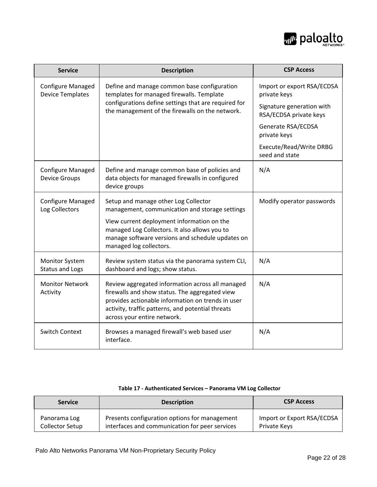

| <b>Service</b>                                      | <b>Description</b>                                                                                                                                                                                                                          | <b>CSP Access</b>                                   |
|-----------------------------------------------------|---------------------------------------------------------------------------------------------------------------------------------------------------------------------------------------------------------------------------------------------|-----------------------------------------------------|
| <b>Configure Managed</b><br><b>Device Templates</b> | Define and manage common base configuration<br>templates for managed firewalls. Template<br>configurations define settings that are required for<br>the management of the firewalls on the network.                                         | Import or export RSA/ECDSA<br>private keys          |
|                                                     |                                                                                                                                                                                                                                             | Signature generation with<br>RSA/ECDSA private keys |
|                                                     |                                                                                                                                                                                                                                             | Generate RSA/ECDSA<br>private keys                  |
|                                                     |                                                                                                                                                                                                                                             | Execute/Read/Write DRBG<br>seed and state           |
| <b>Configure Managed</b><br><b>Device Groups</b>    | Define and manage common base of policies and<br>data objects for managed firewalls in configured<br>device groups                                                                                                                          | N/A                                                 |
| <b>Configure Managed</b><br>Log Collectors          | Setup and manage other Log Collector<br>management, communication and storage settings                                                                                                                                                      | Modify operator passwords                           |
|                                                     | View current deployment information on the<br>managed Log Collectors. It also allows you to<br>manage software versions and schedule updates on<br>managed log collectors.                                                                  |                                                     |
| <b>Monitor System</b><br><b>Status and Logs</b>     | Review system status via the panorama system CLI,<br>dashboard and logs; show status.                                                                                                                                                       | N/A                                                 |
| <b>Monitor Network</b><br>Activity                  | Review aggregated information across all managed<br>firewalls and show status. The aggregated view<br>provides actionable information on trends in user<br>activity, traffic patterns, and potential threats<br>across your entire network. | N/A                                                 |
| <b>Switch Context</b>                               | Browses a managed firewall's web based user<br>interface.                                                                                                                                                                                   | N/A                                                 |

#### **Table 17 - Authenticated Services – Panorama VM Log Collector**

<span id="page-21-0"></span>

| <b>Service</b>  | <b>Description</b>                             | <b>CSP Access</b>          |
|-----------------|------------------------------------------------|----------------------------|
| Panorama Log    | Presents configuration options for management  | Import or Export RSA/ECDSA |
| Collector Setup | interfaces and communication for peer services | Private Keys               |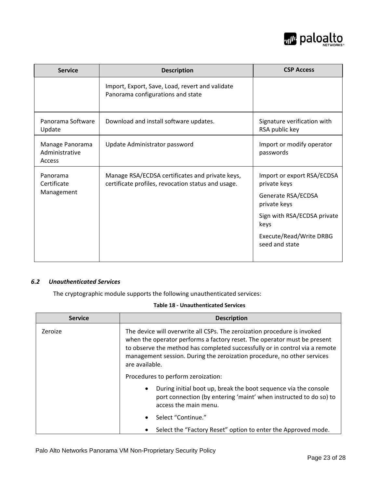

| <b>Service</b>                              | <b>Description</b>                                                                                    | <b>CSP Access</b>                             |
|---------------------------------------------|-------------------------------------------------------------------------------------------------------|-----------------------------------------------|
|                                             | Import, Export, Save, Load, revert and validate<br>Panorama configurations and state                  |                                               |
| Panorama Software<br>Update                 | Download and install software updates.                                                                | Signature verification with<br>RSA public key |
| Manage Panorama<br>Administrative<br>Access | Update Administrator password                                                                         | Import or modify operator<br>passwords        |
| Panorama<br>Certificate                     | Manage RSA/ECDSA certificates and private keys,<br>certificate profiles, revocation status and usage. | Import or export RSA/ECDSA<br>private keys    |
| Management                                  |                                                                                                       | Generate RSA/ECDSA<br>private keys            |
|                                             |                                                                                                       | Sign with RSA/ECDSA private<br>keys           |
|                                             |                                                                                                       | Execute/Read/Write DRBG<br>seed and state     |

#### <span id="page-22-0"></span>*6.2 Unauthenticated Services*

The cryptographic module supports the following unauthenticated services:

#### **Table 18 - Unauthenticated Services**

<span id="page-22-1"></span>

| <b>Service</b> | <b>Description</b>                                                                                                                                                                                                                                                                                                               |
|----------------|----------------------------------------------------------------------------------------------------------------------------------------------------------------------------------------------------------------------------------------------------------------------------------------------------------------------------------|
| Zeroize        | The device will overwrite all CSPs. The zeroization procedure is invoked<br>when the operator performs a factory reset. The operator must be present<br>to observe the method has completed successfully or in control via a remote<br>management session. During the zeroization procedure, no other services<br>are available. |
|                | Procedures to perform zeroization:                                                                                                                                                                                                                                                                                               |
|                | During initial boot up, break the boot sequence via the console<br>port connection (by entering 'maint' when instructed to do so) to<br>access the main menu.                                                                                                                                                                    |
|                | Select "Continue."                                                                                                                                                                                                                                                                                                               |
|                | Select the "Factory Reset" option to enter the Approved mode.                                                                                                                                                                                                                                                                    |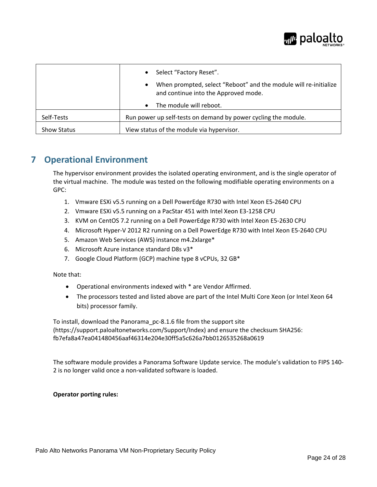

|                    | • Select "Factory Reset".                                                                                |
|--------------------|----------------------------------------------------------------------------------------------------------|
|                    | When prompted, select "Reboot" and the module will re-initialize<br>and continue into the Approved mode. |
|                    | The module will reboot.<br>$\bullet$                                                                     |
| Self-Tests         | Run power up self-tests on demand by power cycling the module.                                           |
| <b>Show Status</b> | View status of the module via hypervisor.                                                                |

## <span id="page-23-0"></span>**7 Operational Environment**

The hypervisor environment provides the isolated operating environment, and is the single operator of the virtual machine. The module was tested on the following modifiable operating environments on a GPC:

- 1. Vmware ESXi v5.5 running on a Dell PowerEdge R730 with Intel Xeon E5-2640 CPU
- 2. Vmware ESXi v5.5 running on a PacStar 451 with Intel Xeon E3-1258 CPU
- 3. KVM on CentOS 7.2 running on a Dell PowerEdge R730 with Intel Xeon E5-2630 CPU
- 4. Microsoft Hyper-V 2012 R2 running on a Dell PowerEdge R730 with Intel Xeon E5-2640 CPU
- 5. Amazon Web Services (AWS) instance m4.2xlarge\*
- 6. Microsoft Azure instance standard D8s v3\*
- 7. Google Cloud Platform (GCP) machine type 8 vCPUs, 32 GB\*

#### Note that:

- Operational environments indexed with \* are Vendor Affirmed.
- The processors tested and listed above are part of the Intel Multi Core Xeon (or Intel Xeon 64 bits) processor family.

To install, download the Panorama\_pc-8.1.6 file from the support site (https://support.paloaltonetworks.com/Support/Index) and ensure the checksum SHA256: fb7efa8a47ea041480456aaf46314e204e30ff5a5c626a7bb0126535268a0619

The software module provides a Panorama Software Update service. The module's validation to FIPS 140- 2 is no longer valid once a non-validated software is loaded.

#### **Operator porting rules:**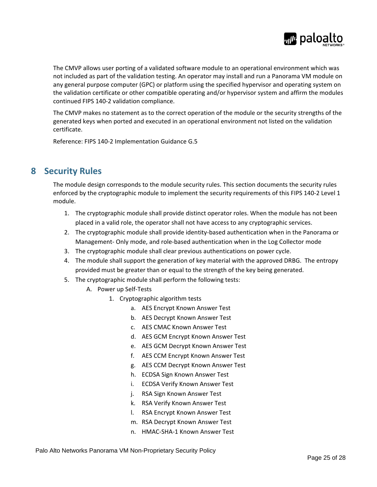

The CMVP allows user porting of a validated software module to an operational environment which was not included as part of the validation testing. An operator may install and run a Panorama VM module on any general purpose computer (GPC) or platform using the specified hypervisor and operating system on the validation certificate or other compatible operating and/or hypervisor system and affirm the modules continued FIPS 140-2 validation compliance.

The CMVP makes no statement as to the correct operation of the module or the security strengths of the generated keys when ported and executed in an operational environment not listed on the validation certificate.

Reference: FIPS 140-2 Implementation Guidance G.5

## <span id="page-24-0"></span>**8 Security Rules**

The module design corresponds to the module security rules. This section documents the security rules enforced by the cryptographic module to implement the security requirements of this FIPS 140-2 Level 1 module.

- 1. The cryptographic module shall provide distinct operator roles. When the module has not been placed in a valid role, the operator shall not have access to any cryptographic services.
- 2. The cryptographic module shall provide identity-based authentication when in the Panorama or Management- Only mode, and role-based authentication when in the Log Collector mode
- 3. The cryptographic module shall clear previous authentications on power cycle.
- 4. The module shall support the generation of key material with the approved DRBG. The entropy provided must be greater than or equal to the strength of the key being generated.
- 5. The cryptographic module shall perform the following tests:
	- A. Power up Self-Tests
		- 1. Cryptographic algorithm tests
			- a. AES Encrypt Known Answer Test
			- b. AES Decrypt Known Answer Test
			- c. AES CMAC Known Answer Test
			- d. AES GCM Encrypt Known Answer Test
			- e. AES GCM Decrypt Known Answer Test
			- f. AES CCM Encrypt Known Answer Test
			- g. AES CCM Decrypt Known Answer Test
			- h. ECDSA Sign Known Answer Test
			- i. ECDSA Verify Known Answer Test
			- j. RSA Sign Known Answer Test
			- k. RSA Verify Known Answer Test
			- l. RSA Encrypt Known Answer Test
			- m. RSA Decrypt Known Answer Test
			- n. HMAC-SHA-1 Known Answer Test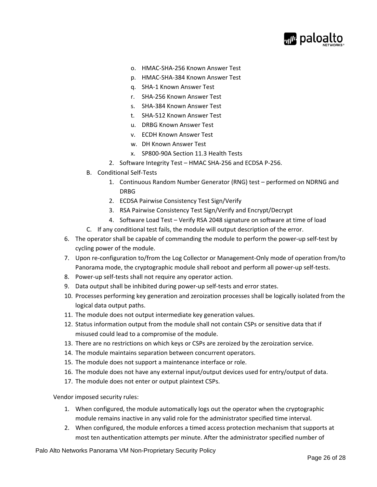

- o. HMAC-SHA-256 Known Answer Test
- p. HMAC-SHA-384 Known Answer Test
- q. SHA-1 Known Answer Test
- r. SHA-256 Known Answer Test
- s. SHA-384 Known Answer Test
- t. SHA-512 Known Answer Test
- u. DRBG Known Answer Test
- v. ECDH Known Answer Test
- w. DH Known Answer Test
- x. SP800-90A Section 11.3 Health Tests
- 2. Software Integrity Test HMAC SHA-256 and ECDSA P-256.
- B. Conditional Self-Tests
	- 1. Continuous Random Number Generator (RNG) test performed on NDRNG and DRBG
	- 2. ECDSA Pairwise Consistency Test Sign/Verify
	- 3. RSA Pairwise Consistency Test Sign/Verify and Encrypt/Decrypt
	- 4. Software Load Test Verify RSA 2048 signature on software at time of load
- C. If any conditional test fails, the module will output description of the error.
- 6. The operator shall be capable of commanding the module to perform the power-up self-test by cycling power of the module.
- 7. Upon re-configuration to/from the Log Collector or Management-Only mode of operation from/to Panorama mode, the cryptographic module shall reboot and perform all power-up self-tests.
- 8. Power-up self-tests shall not require any operator action.
- 9. Data output shall be inhibited during power-up self-tests and error states.
- 10. Processes performing key generation and zeroization processes shall be logically isolated from the logical data output paths.
- 11. The module does not output intermediate key generation values.
- 12. Status information output from the module shall not contain CSPs or sensitive data that if misused could lead to a compromise of the module.
- 13. There are no restrictions on which keys or CSPs are zeroized by the zeroization service.
- 14. The module maintains separation between concurrent operators.
- 15. The module does not support a maintenance interface or role.
- 16. The module does not have any external input/output devices used for entry/output of data.
- 17. The module does not enter or output plaintext CSPs.

Vendor imposed security rules:

- 1. When configured, the module automatically logs out the operator when the cryptographic module remains inactive in any valid role for the administrator specified time interval.
- 2. When configured, the module enforces a timed access protection mechanism that supports at most ten authentication attempts per minute. After the administrator specified number of

Palo Alto Networks Panorama VM Non-Proprietary Security Policy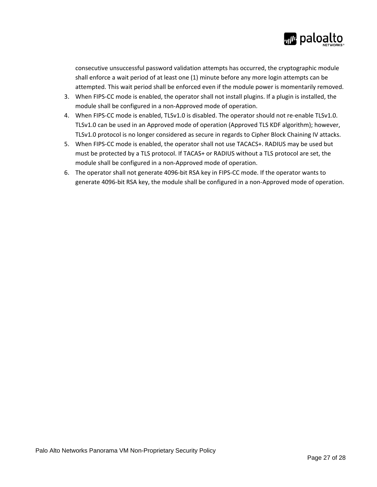

consecutive unsuccessful password validation attempts has occurred, the cryptographic module shall enforce a wait period of at least one (1) minute before any more login attempts can be attempted. This wait period shall be enforced even if the module power is momentarily removed.

- 3. When FIPS-CC mode is enabled, the operator shall not install plugins. If a plugin is installed, the module shall be configured in a non-Approved mode of operation.
- <span id="page-26-0"></span>4. When FIPS-CC mode is enabled, TLSv1.0 is disabled. The operator should not re-enable TLSv1.0. TLSv1.0 can be used in an Approved mode of operation (Approved TLS KDF algorithm); however, TLSv1.0 protocol is no longer considered as secure in regards to Cipher Block Chaining IV attacks.
- 5. When FIPS-CC mode is enabled, the operator shall not use TACACS+. RADIUS may be used but must be protected by a TLS protocol. If TACAS+ or RADIUS without a TLS protocol are set, the module shall be configured in a non-Approved mode of operation.
- 6. The operator shall not generate 4096-bit RSA key in FIPS-CC mode. If the operator wants to generate 4096-bit RSA key, the module shall be configured in a non-Approved mode of operation.